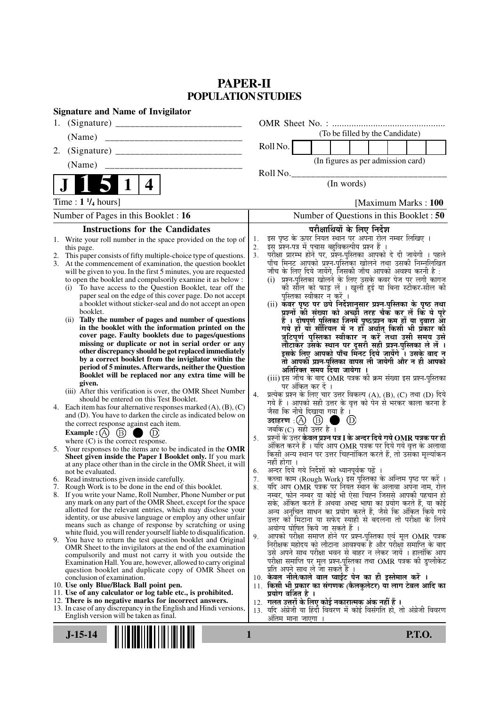# **PAPER-II POPULATION STUDIES**

| <b>Signature and Name of Invigilator</b>                                                                                                                                                                                                                                                                                                                                                                                                                                                                                                                                                                                                                                                                                                                                                                                                                                                                                                                                                                                                                                                                                                                                                                                                                                                                                                                                                                                                                                                                                                                                                                                                                                                                                                                                                                                                                                                                                                                                                                                                                                                                                                                                                                                                                                                                                                                                                                                                                                                                |                                                                                                                                                                                                                                                                                                                                                                                                                                                                                                                                                                                                                                                                                                                                                                                                                                                                                                                                                                                                                                                                                                                                                                                                                                                                                                                                                                                                                                                                                                                                                                                                                                                                                                                                                                                                                                                                                                                                                                                                                                                                                                                                                                                                                                                                                                                                                                                                                                    |
|---------------------------------------------------------------------------------------------------------------------------------------------------------------------------------------------------------------------------------------------------------------------------------------------------------------------------------------------------------------------------------------------------------------------------------------------------------------------------------------------------------------------------------------------------------------------------------------------------------------------------------------------------------------------------------------------------------------------------------------------------------------------------------------------------------------------------------------------------------------------------------------------------------------------------------------------------------------------------------------------------------------------------------------------------------------------------------------------------------------------------------------------------------------------------------------------------------------------------------------------------------------------------------------------------------------------------------------------------------------------------------------------------------------------------------------------------------------------------------------------------------------------------------------------------------------------------------------------------------------------------------------------------------------------------------------------------------------------------------------------------------------------------------------------------------------------------------------------------------------------------------------------------------------------------------------------------------------------------------------------------------------------------------------------------------------------------------------------------------------------------------------------------------------------------------------------------------------------------------------------------------------------------------------------------------------------------------------------------------------------------------------------------------------------------------------------------------------------------------------------------------|------------------------------------------------------------------------------------------------------------------------------------------------------------------------------------------------------------------------------------------------------------------------------------------------------------------------------------------------------------------------------------------------------------------------------------------------------------------------------------------------------------------------------------------------------------------------------------------------------------------------------------------------------------------------------------------------------------------------------------------------------------------------------------------------------------------------------------------------------------------------------------------------------------------------------------------------------------------------------------------------------------------------------------------------------------------------------------------------------------------------------------------------------------------------------------------------------------------------------------------------------------------------------------------------------------------------------------------------------------------------------------------------------------------------------------------------------------------------------------------------------------------------------------------------------------------------------------------------------------------------------------------------------------------------------------------------------------------------------------------------------------------------------------------------------------------------------------------------------------------------------------------------------------------------------------------------------------------------------------------------------------------------------------------------------------------------------------------------------------------------------------------------------------------------------------------------------------------------------------------------------------------------------------------------------------------------------------------------------------------------------------------------------------------------------------|
| 1.                                                                                                                                                                                                                                                                                                                                                                                                                                                                                                                                                                                                                                                                                                                                                                                                                                                                                                                                                                                                                                                                                                                                                                                                                                                                                                                                                                                                                                                                                                                                                                                                                                                                                                                                                                                                                                                                                                                                                                                                                                                                                                                                                                                                                                                                                                                                                                                                                                                                                                      |                                                                                                                                                                                                                                                                                                                                                                                                                                                                                                                                                                                                                                                                                                                                                                                                                                                                                                                                                                                                                                                                                                                                                                                                                                                                                                                                                                                                                                                                                                                                                                                                                                                                                                                                                                                                                                                                                                                                                                                                                                                                                                                                                                                                                                                                                                                                                                                                                                    |
| (Name)                                                                                                                                                                                                                                                                                                                                                                                                                                                                                                                                                                                                                                                                                                                                                                                                                                                                                                                                                                                                                                                                                                                                                                                                                                                                                                                                                                                                                                                                                                                                                                                                                                                                                                                                                                                                                                                                                                                                                                                                                                                                                                                                                                                                                                                                                                                                                                                                                                                                                                  | (To be filled by the Candidate)                                                                                                                                                                                                                                                                                                                                                                                                                                                                                                                                                                                                                                                                                                                                                                                                                                                                                                                                                                                                                                                                                                                                                                                                                                                                                                                                                                                                                                                                                                                                                                                                                                                                                                                                                                                                                                                                                                                                                                                                                                                                                                                                                                                                                                                                                                                                                                                                    |
| 2.                                                                                                                                                                                                                                                                                                                                                                                                                                                                                                                                                                                                                                                                                                                                                                                                                                                                                                                                                                                                                                                                                                                                                                                                                                                                                                                                                                                                                                                                                                                                                                                                                                                                                                                                                                                                                                                                                                                                                                                                                                                                                                                                                                                                                                                                                                                                                                                                                                                                                                      | Roll No.                                                                                                                                                                                                                                                                                                                                                                                                                                                                                                                                                                                                                                                                                                                                                                                                                                                                                                                                                                                                                                                                                                                                                                                                                                                                                                                                                                                                                                                                                                                                                                                                                                                                                                                                                                                                                                                                                                                                                                                                                                                                                                                                                                                                                                                                                                                                                                                                                           |
| (Name)                                                                                                                                                                                                                                                                                                                                                                                                                                                                                                                                                                                                                                                                                                                                                                                                                                                                                                                                                                                                                                                                                                                                                                                                                                                                                                                                                                                                                                                                                                                                                                                                                                                                                                                                                                                                                                                                                                                                                                                                                                                                                                                                                                                                                                                                                                                                                                                                                                                                                                  | (In figures as per admission card)                                                                                                                                                                                                                                                                                                                                                                                                                                                                                                                                                                                                                                                                                                                                                                                                                                                                                                                                                                                                                                                                                                                                                                                                                                                                                                                                                                                                                                                                                                                                                                                                                                                                                                                                                                                                                                                                                                                                                                                                                                                                                                                                                                                                                                                                                                                                                                                                 |
|                                                                                                                                                                                                                                                                                                                                                                                                                                                                                                                                                                                                                                                                                                                                                                                                                                                                                                                                                                                                                                                                                                                                                                                                                                                                                                                                                                                                                                                                                                                                                                                                                                                                                                                                                                                                                                                                                                                                                                                                                                                                                                                                                                                                                                                                                                                                                                                                                                                                                                         | Roll No.                                                                                                                                                                                                                                                                                                                                                                                                                                                                                                                                                                                                                                                                                                                                                                                                                                                                                                                                                                                                                                                                                                                                                                                                                                                                                                                                                                                                                                                                                                                                                                                                                                                                                                                                                                                                                                                                                                                                                                                                                                                                                                                                                                                                                                                                                                                                                                                                                           |
| 4                                                                                                                                                                                                                                                                                                                                                                                                                                                                                                                                                                                                                                                                                                                                                                                                                                                                                                                                                                                                                                                                                                                                                                                                                                                                                                                                                                                                                                                                                                                                                                                                                                                                                                                                                                                                                                                                                                                                                                                                                                                                                                                                                                                                                                                                                                                                                                                                                                                                                                       | (In words)                                                                                                                                                                                                                                                                                                                                                                                                                                                                                                                                                                                                                                                                                                                                                                                                                                                                                                                                                                                                                                                                                                                                                                                                                                                                                                                                                                                                                                                                                                                                                                                                                                                                                                                                                                                                                                                                                                                                                                                                                                                                                                                                                                                                                                                                                                                                                                                                                         |
| Time : $1 \frac{1}{4}$ hours]                                                                                                                                                                                                                                                                                                                                                                                                                                                                                                                                                                                                                                                                                                                                                                                                                                                                                                                                                                                                                                                                                                                                                                                                                                                                                                                                                                                                                                                                                                                                                                                                                                                                                                                                                                                                                                                                                                                                                                                                                                                                                                                                                                                                                                                                                                                                                                                                                                                                           | [Maximum Marks: 100                                                                                                                                                                                                                                                                                                                                                                                                                                                                                                                                                                                                                                                                                                                                                                                                                                                                                                                                                                                                                                                                                                                                                                                                                                                                                                                                                                                                                                                                                                                                                                                                                                                                                                                                                                                                                                                                                                                                                                                                                                                                                                                                                                                                                                                                                                                                                                                                                |
| Number of Pages in this Booklet : 16                                                                                                                                                                                                                                                                                                                                                                                                                                                                                                                                                                                                                                                                                                                                                                                                                                                                                                                                                                                                                                                                                                                                                                                                                                                                                                                                                                                                                                                                                                                                                                                                                                                                                                                                                                                                                                                                                                                                                                                                                                                                                                                                                                                                                                                                                                                                                                                                                                                                    | Number of Questions in this Booklet: 50                                                                                                                                                                                                                                                                                                                                                                                                                                                                                                                                                                                                                                                                                                                                                                                                                                                                                                                                                                                                                                                                                                                                                                                                                                                                                                                                                                                                                                                                                                                                                                                                                                                                                                                                                                                                                                                                                                                                                                                                                                                                                                                                                                                                                                                                                                                                                                                            |
| <b>Instructions for the Candidates</b>                                                                                                                                                                                                                                                                                                                                                                                                                                                                                                                                                                                                                                                                                                                                                                                                                                                                                                                                                                                                                                                                                                                                                                                                                                                                                                                                                                                                                                                                                                                                                                                                                                                                                                                                                                                                                                                                                                                                                                                                                                                                                                                                                                                                                                                                                                                                                                                                                                                                  | परीक्षार्थियों के लिए निर्देश                                                                                                                                                                                                                                                                                                                                                                                                                                                                                                                                                                                                                                                                                                                                                                                                                                                                                                                                                                                                                                                                                                                                                                                                                                                                                                                                                                                                                                                                                                                                                                                                                                                                                                                                                                                                                                                                                                                                                                                                                                                                                                                                                                                                                                                                                                                                                                                                      |
| 1. Write your roll number in the space provided on the top of<br>this page.<br>2. This paper consists of fifty multiple-choice type of questions.<br>At the commencement of examination, the question booklet<br>3.<br>will be given to you. In the first 5 minutes, you are requested<br>to open the booklet and compulsorily examine it as below :<br>To have access to the Question Booklet, tear off the<br>(i)<br>paper seal on the edge of this cover page. Do not accept<br>a booklet without sticker-seal and do not accept an open<br>booklet.<br>Tally the number of pages and number of questions<br>(ii)<br>in the booklet with the information printed on the<br>cover page. Faulty booklets due to pages/questions<br>missing or duplicate or not in serial order or any<br>other discrepancy should be got replaced immediately<br>by a correct booklet from the invigilator within the<br>period of 5 minutes. Afterwards, neither the Question<br>Booklet will be replaced nor any extra time will be<br>given.<br>(iii) After this verification is over, the OMR Sheet Number<br>should be entered on this Test Booklet.<br>Each item has four alternative responses marked $(A)$ , $(B)$ , $(C)$<br>4.<br>and (D). You have to darken the circle as indicated below on<br>the correct response against each item.<br>Example : $(A)$ $(B)$ (<br>$\bullet$ (D)<br>where $(C)$ is the correct response.<br>Your responses to the items are to be indicated in the OMR<br>5.<br>Sheet given inside the Paper I Booklet only. If you mark<br>at any place other than in the circle in the OMR Sheet, it will<br>not be evaluated.<br>6. Read instructions given inside carefully.<br>7. Rough Work is to be done in the end of this booklet.<br>8. If you write your Name, Roll Number, Phone Number or put<br>any mark on any part of the OMR Sheet, except for the space<br>allotted for the relevant entries, which may disclose your<br>identity, or use abusive language or employ any other unfair<br>means such as change of response by scratching or using<br>white fluid, you will render yourself liable to disqualification.<br>9. You have to return the test question booklet and Original<br>OMR Sheet to the invigilators at the end of the examination<br>compulsorily and must not carry it with you outside the<br>Examination Hall. You are, however, allowed to carry original<br>question booklet and duplicate copy of OMR Sheet on<br>conclusion of examination. | इस पृष्ठ के ऊपर नियत स्थान पर अपना रोल नम्बर लिखिए ।<br>1.<br>इस प्रश्न-पत्र में पचास बहुविकल्पीय प्रश्न हैं ।<br>2.<br>परीक्षा प्रारम्भ होने पर, प्रॅश्न-पुस्तिका आपको दे दी जायेगी । पहले<br>पाँच मिनट आपको प्रश्न-पुस्तिका खोलने तथा उसकी निम्नलिखित<br>3.<br>जाँच के लिए दिये जायेंगे, जिसकी जाँच आपको अवश्य करनी है :<br>(i) प्रश्न-पुस्तिका खोलने के लिए उसके कवर पेज पर लगी कागज<br>की सील को फाड़ लें । खुली हुई या बिना स्टीकर-सील की<br>पुस्तिका स्वीकार न करें ।<br>(ii) कँवर पृष्ठ पर छपे निर्देशानुसार प्रश्न्-पुस्तिका के पृष्ठ तथा<br>प्रश्नों की संख्या को अच्छी तरह चैक कर लें कि ये पूरे<br>हैं । दोषपूर्ण पुस्तिका जिनमें पृष्ठ/प्रश्न कम हों या दुबारा आ<br>गये हों या सीरियल में न हो अर्थात् किसी भी प्रकार की<br>त्रुटिपूर्ण पुस्तिका स्वीकार न करें तथा उसी समय उसे<br>लौटाकर उसके स्थान पर दूसरी सही प्रश्न-पुस्तिका ले लें ।<br>इसके लिए आपको पाँच मिनट दिये जायेंगे । उसके बाद न<br>तो आपकी प्रश्न-पुस्तिका वापस ली जायेगी और न ही आपको<br>अतिरिक्त समय दिया जायेगा ।<br>(iii) इस जाँच के बाद OMR पत्रक की क्रम संख्या इस प्रश्न-पुस्तिका<br>पर अंकित कर दें ।<br>प्रत्येक प्रश्न के लिए चार उत्तर विकल्प (A), (B), (C) तथा (D) दिये<br>4.<br>गये हैं । आपको सही उत्तर के वृत्त को पेन से भरकर काला करना है<br>जैसा कि नीचे दिखाया गया है ।<br>(D)<br>जबकि (C) सही उत्तर है $\overline{1}$<br>प्रश्नों के उत्तर <b>केवल प्रश्न पत्र I के अन्दर दिये गये OMR पत्रक पर ही</b><br>5.<br>अंकित करने हैं । यदि आप OMR पत्रक पर दिये गये वृत्त के अलावा<br>किसी अन्य स्थान पर उत्तर चिह्नांकित करते हैं, तो उसका मूल्यांकन<br>नहीं होगा ।<br>अन्दर दिये गये निर्देशों को ध्यानपूर्वक पढ़ें ।<br>6.<br>कच्चा काम (Rough Work) इस पुस्तिका के अन्तिम पृष्ठ पर करें ।<br>7.<br>यदि आप OMR पत्रक पर नियत स्थान के अलावा अपना नाम, रोल<br>8.<br>नम्बर, फोन नम्बर या कोई भी ऐसा चिह्न जिससे आपकी पहचान हो<br>सके, अंकित करते हैं अथवा अभद्र भाषा का प्रयोग करते हैं, या कोई<br>अन्य अनुचित साधन का प्रयोग करते हैं, जैसे कि अंकित किये गये<br>उत्तर को मिटाना या सफेद स्याही से बदलना तो परीक्षा के लिये<br>अयोग्य घोषित किये जा सकते हैं ।<br>आपको परीक्षा समाप्त होने पर प्रश्न-पुस्तिका एवं मूल OMR पत्रक<br>9.<br>निरीक्षक महोदय को लौटाना आवश्यक है और परीक्षा समाप्ति के बाद<br>उसे अपने साथ परीक्षा भवन से बाहर न लेकर जायें । हालांकि आप<br>परीक्षा समाप्ति पर मूल प्रश्न-पुस्तिका तथा OMR पत्रक की डुप्लीकेट<br>प्रति अपने साथ ले जा सकते है ।<br>10. केवल नीले/काले बाल प्वाईंट पेन का ही इस्तेमाल करें । |
| 10. Use only Blue/Black Ball point pen.<br>11. Use of any calculator or log table etc., is prohibited.<br>12. There is no negative marks for incorrect answers.<br>13. In case of any discrepancy in the English and Hindi versions,<br>English version will be taken as final.                                                                                                                                                                                                                                                                                                                                                                                                                                                                                                                                                                                                                                                                                                                                                                                                                                                                                                                                                                                                                                                                                                                                                                                                                                                                                                                                                                                                                                                                                                                                                                                                                                                                                                                                                                                                                                                                                                                                                                                                                                                                                                                                                                                                                         | 11. किसी भी प्रकार का संगणक (कैलकुलेटर) या लाग टेबल आदि का<br>प्रयोग वर्जित है ।<br>12.  गलत उत्तरों के लिए कोई नकारात्मक अंक नहीं हैं ।<br>13. यदि अंग्रेजी या हिंदी विवरण में कोई विसंगति हो, तो अंग्रेजी विवरण                                                                                                                                                                                                                                                                                                                                                                                                                                                                                                                                                                                                                                                                                                                                                                                                                                                                                                                                                                                                                                                                                                                                                                                                                                                                                                                                                                                                                                                                                                                                                                                                                                                                                                                                                                                                                                                                                                                                                                                                                                                                                                                                                                                                                  |
| $J-15-14$                                                                                                                                                                                                                                                                                                                                                                                                                                                                                                                                                                                                                                                                                                                                                                                                                                                                                                                                                                                                                                                                                                                                                                                                                                                                                                                                                                                                                                                                                                                                                                                                                                                                                                                                                                                                                                                                                                                                                                                                                                                                                                                                                                                                                                                                                                                                                                                                                                                                                               | अंतिम माना जाएगा<br><b>P.T.O.</b><br>1                                                                                                                                                                                                                                                                                                                                                                                                                                                                                                                                                                                                                                                                                                                                                                                                                                                                                                                                                                                                                                                                                                                                                                                                                                                                                                                                                                                                                                                                                                                                                                                                                                                                                                                                                                                                                                                                                                                                                                                                                                                                                                                                                                                                                                                                                                                                                                                             |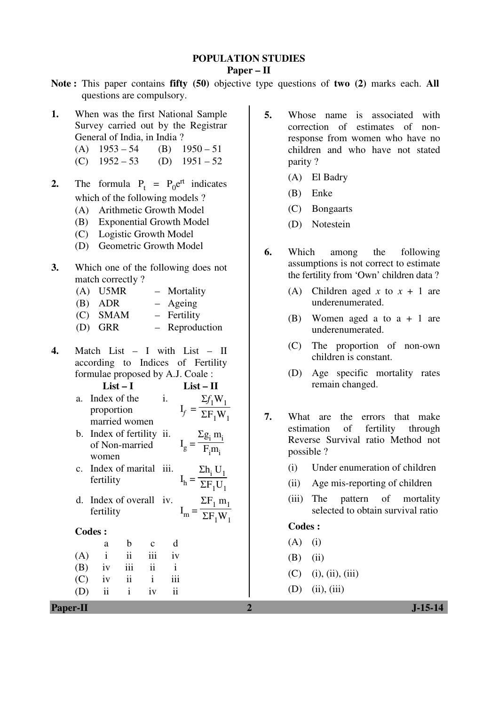## **POPULATION STUDIES**

**Paper – II** 

- **Note :** This paper contains **fifty (50)** objective type questions of **two (2)** marks each. **All** questions are compulsory.
- **1.** When was the first National Sample Survey carried out by the Registrar General of India, in India ?
	- (A)  $1953 54$  (B)  $1950 51$
	- (C)  $1952 53$  (D)  $1951 52$
- **2.** The formula  $P_t = P_0 e^{rt}$  indicates which of the following models ?
	- (A) Arithmetic Growth Model
	- (B) Exponential Growth Model
	- (C) Logistic Growth Model
	- (D) Geometric Growth Model
- **3.** Which one of the following does not match correctly ?
	- (A) U5MR Mortality
	- (B) ADR Ageing
	- (C) SMAM Fertility
	- (D) GRR Reproduction
- **4.** Match List I with List II according to Indices of Fertility formulae proposed by A.J. Coale :
	- **List I List II**  a. Index of the proportion married women i.  $I_f =$  $\Sigma f$ <sub>1</sub>W<sub>1</sub>  $\frac{1}{\Sigma F_1 W_1}$
	- b. Index of fertility ii. of Non-married women  $I_g =$  $\Sigma$ g<sub>i</sub> m<sub>i</sub>  $\frac{F_i m_i}{F_i m_i}$
	- c. Index of marital iii. fertility  $I_h =$  $\Sigma$ h<sub>i</sub> U<sub>1</sub>  $\frac{1}{\Sigma F_1 U_1}$
	- d. Index of overall iv. fertility  $I_m =$  $\Sigma$ F<sub>1</sub> m<sub>1</sub>  $\frac{1}{\Sigma F_1 W_1}$

#### **Codes :**

 a b c d  $(A)$  i ii iii iv  $(B)$  iv iii ii i  $(C)$  iv ii i iii (D) ii i iv ii

- **5.** Whose name is associated with correction of estimates of nonresponse from women who have no children and who have not stated parity ?
	- (A) El Badry
	- (B) Enke
	- (C) Bongaarts
	- (D) Notestein
- **6.** Which among the following assumptions is not correct to estimate the fertility from 'Own' children data ?
	- (A) Children aged *x* to  $x + 1$  are underenumerated.
	- (B) Women aged a to a + 1 are underenumerated.
	- (C) The proportion of non-own children is constant.
	- (D) Age specific mortality rates remain changed.
- **7.** What are the errors that make estimation of fertility through Reverse Survival ratio Method not possible ?
	- (i) Under enumeration of children
	- (ii) Age mis-reporting of children
	- (iii) The pattern of mortality selected to obtain survival ratio

#### **Codes :**

- $(A)$  (i)
- $(B)$  (ii)
- $(C)$  (i), (ii), (iii)
- $(D)$  (ii), (iii)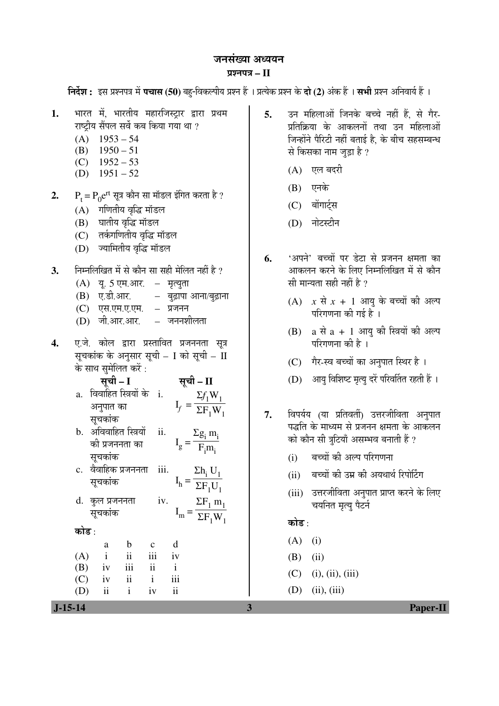#### जनसंख्या अध्ययन

#### ¯ÖÏ¿®Ö¯Ö¡Ö **– II**

**निर्देश :** इस प्रश्नपत्र में **पचास (50)** बहु-विकल्पीय प्रश्न हैं । प्रत्येक प्रश्न के **दो (2)** अंक हैं । **सभी** प्रश्न अनिवार्य हैं ।

- 1. भारत में, भारतीय महारजिस्ट्रार द्वारा प्रथम राष्टीय सैंपल सर्वे कब किया गया था ?
	- $(A)$  1953 54
	- $(B)$  1950 51
	- $(C)$  1952 53
	- (D)  $1951 52$
- $\mathbf{2.} \qquad \mathrm{P_{t} \mathrm{=} \, P_{0} \mathrm{e^{rt}} }$  सूत्र कौन सा मॉडल इंगित करता है ?
	- $(A)$  गणितीय वृद्धि मॉडल
	- (B) घातीय वृद्धि मॉडल
	- (C) तर्कगणितीय वृद्धि मॉडल
	- (D) ज्यामितीय वृद्धि मॉडल
- 3. निम्नलिखित में से कौन सा सही मेलित नहीं है ?
	- $(A)$  यृ. 5 एम.आर. मृत्युता
	- $(B)$  ए.डी.आर. बुढ़ापा आना/बुढ़ाना
	- (C) एस.एम.ए.एम. प्रजनन
	- (D) जी.आर.आर. जननशीलता
- 4. ए.जे. कोल द्वारा प्रस्तावित प्रजननता सूत्र सूचकांक के अनुसार सुची – I को सुची – II के साथ सुमेलित करें :

$$
\vec{R} = I
$$
  $\vec{R} = II$ 

- a. विवाहित स्त्रियों के i. अनुपात का सूचकांक  $I_f =$  $\Sigma f$ <sub>1</sub>W<sub>1</sub>  $\frac{1}{\Sigma F_1 W_1}$
- b. अविवाहित स्त्रियों को प्रजननता का सूचकांक ii.  $I_g =$  $\Sigma$ g<sub>i</sub> m<sub>i</sub>  $\frac{F_i m_i}{F_i m_i}$
- c. वैवाहिक प्रजननता iii. सुचकांक  $I_h =$  $\Sigma$ h<sub>i</sub> U<sub>1</sub>  $\frac{1}{\Sigma F_1 U_1}$
- d. कुल प्रजननता सूचकांक iv.  $I_m =$  $\Sigma F_1 m_1$  $\overline{\Sigma F_1 W_1}$

󜅐ݟ :

 a b c d  $(A)$  i ii iii iv (B) iv iii ii i  $(C)$  iv ii i iii

(D) ii i iv ii

**5.** उन महिलाओं जिनके बच्चे नहीं हैं, से गैर-प्रतिक्रिया के आकलनों तथा उन महिलाओं जिन्होंने पैरिटी नहीं बताई है, के बीच सहसम्बन्ध से किसका नाम जुड़ा है ?

- (A) एल बदरी
- $(B)$  एनके
- (C) बोंगार्ट्स
- (D) नोटस्टीन
- 6. 'अपने' बच्चों पर डेटा से प्रजनन क्षमता का आकलन करने के लिए निम्नलिखित में से कौन सी मान्यता सही नहीं है  $\overline{v}$ 
	- $(A)$  *x* से *x* + 1 आयु के बच्चों की अल्प परिगणना की गई है ।
	- $(B)$  a से a + 1 आयु की स्त्रियों की अल्प परिगणना की है ।
	- (C) गैर-स्व बच्चों का अनुपात स्थिर है।
	- (D) आयु विशिष्ट मृत्यु दरें परिवर्तित रहती हैं ।
- 7. विपर्यय (या प्रतिवर्ती) उत्तरजीविता अनुपात पद्धति के माध्यम से प्रजनन क्षमता के आकलन को कौन सी त्रटियाँ असम्भव बनाती हैं ?
	- (i) बच्चों की अल्प परिगणना
	- (ii) बच्चों की उम्र की अयथार्थ रिपोर्टिंग
	- (iii) उत्तरजीविता अनुपात प्राप्त करने के लिए चयनित मृत्यु पैटर्न

कोड़ $\cdot$ 

 $\ddot{\phantom{0}}$ 

- $(A)$  (i)
- $(B)$  (ii)
- $(C)$  (i), (ii), (iii)
- $(D)$  (ii), (iii)

 **J-15-14 3 Paper-II**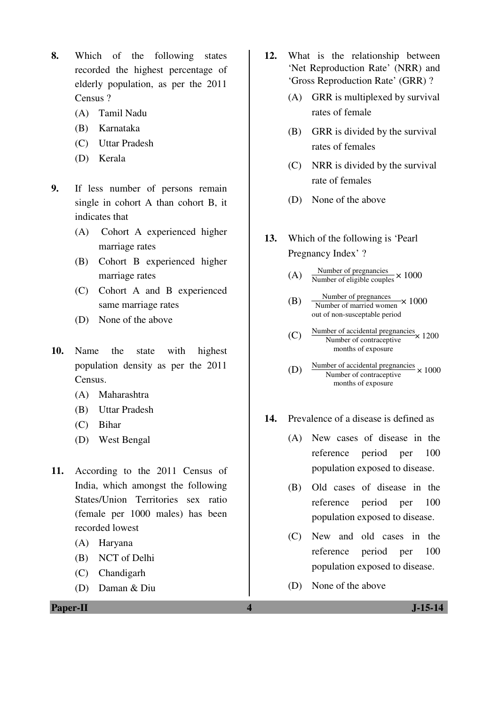- **8.** Which of the following states recorded the highest percentage of elderly population, as per the 2011 Census ?
	- (A) Tamil Nadu
	- (B) Karnataka
	- (C) Uttar Pradesh
	- (D) Kerala
- **9.** If less number of persons remain single in cohort A than cohort B, it indicates that
	- (A) Cohort A experienced higher marriage rates
	- (B) Cohort B experienced higher marriage rates
	- (C) Cohort A and B experienced same marriage rates
	- (D) None of the above
- **10.** Name the state with highest population density as per the 2011 Census.
	- (A) Maharashtra
	- (B) Uttar Pradesh
	- (C) Bihar
	- (D) West Bengal
- **11.** According to the 2011 Census of India, which amongst the following States/Union Territories sex ratio (female per 1000 males) has been recorded lowest
	- (A) Haryana
	- (B) NCT of Delhi
	- (C) Chandigarh
	- (D) Daman & Diu
- **12.** What is the relationship between 'Net Reproduction Rate' (NRR) and 'Gross Reproduction Rate' (GRR) ?
	- (A) GRR is multiplexed by survival rates of female
	- (B) GRR is divided by the survival rates of females
	- (C) NRR is divided by the survival rate of females
	- (D) None of the above
- **13.** Which of the following is 'Pearl Pregnancy Index' ?
- (A) Number of pregnancies  $\times 1000$
- (B)  $\frac{\text{Number of pregnances}}{\text{Number of married women}} \times 1000$ out of non-susceptable period
	- $(C)$  Number of contracentive  $\times$  1200 Number of contraceptive months of exposure
	- (D) Number of accidental pregnancies  $\times 1000$ Number of contraceptive months of exposure
- **14.** Prevalence of a disease is defined as
	- (A) New cases of disease in the reference period per 100 population exposed to disease.
	- (B) Old cases of disease in the reference period per 100 population exposed to disease.
	- (C) New and old cases in the reference period per 100 population exposed to disease.
	- (D) None of the above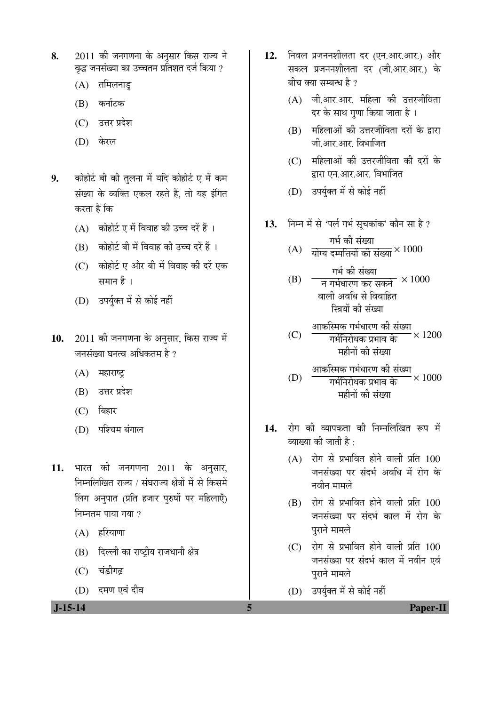- 8. 2011 की जनगणना के अनुसार किस राज्य ने <u>वृद्ध</u> जनसंख्या का उच्चतम प्रतिशत दर्ज किया ?
	- $(A)$  तमिलनाड़
	- (B) कर्नाटक
	- (C) उत्तर प्रदेश
	- (D) केरल
- 9. Þõrte and the ship on the ship of the ship of the ship of the ship of the ship  $\mathbf{g}$  and  $\mathbf{g}$  and  $\mathbf{g}$  and  $\mathbf{g}$  and  $\mathbf{g}$  and  $\mathbf{g}$  and  $\mathbf{g}$  and  $\mathbf{g}$  and  $\mathbf{g}$  and  $\mathbf{g}$  and  $\mathbf{g}$  संख्या के व्यक्ति एकल रहते हैं, तो यह इंगित करता है कि
	- $(A)$  कोहोर्ट ए में विवाह की उच्च दरें हैं ।
	- $(B)$  कोहोर्ट बी में विवाह की उच्च दरें हैं ।
	- (C) कोहोर्ट ए और बी में विवाह की दरें एक समान $\tilde{\vec{a}}$  ।
	- (D) उपर्युक्त में से कोई नहीं
- 10. 2011 की जनगणना के अनुसार, किस राज्य में जनसंख्या घनत्व अधिकतम $\,$ है ?
	- $(A)$  महाराष्ट्र
	- $(B)$  उत्तर प्रदेश
	- $(C)$  बिहार
	- $(D)$  पश्चिम बंगाल
- 11. भारत की जनगणना 2011 के अनुसार, निम्नलिखित राज्य / संघराज्य क्षेत्रों में से किसमें लिंग अनुपात (प्रति हजार पुरुषों पर महिलाएँ)  $\overline{P}$ निम्नतम पाया गया?
	- $(A)$  हरियाणा
	- (B) हिल्ली का राष्ट्रीय राजधानी क्षेत्र
	- (C) चंडीगढ
	- (D) दमण एवं दीव

12. निवल प्रजननशीलता दर (एन.आर.आर.) और सकल प्रजननशीलता दर (जी.आर.आर.) के बीच क्या सम्बन्ध है $\,$ ?

- $(A)$  जी.आर.आर. महिला की उत्तरजीविता दर के साथ गुणा किया जाता है ।
- $(B)$  महिलाओं की उत्तरजीविता दरों के द्वारा जी आर आर विभाजित
- (C) महिलाओं की उत्तरजीविता की दरों के द्वारा एन.आर.आर. विभाजित
- (D) उपर्युक्त में से कोई नहीं
- 13. ਜਿਸ में से 'पर्ल गर्भ सुचकांक' कौन सा है ?

(A)  
$$
\frac{1}{114}
$$
 की संख्या  $(A)$   वोग्य दम्पत्तियों की संख्या $\times$ 1000

 $\rightarrow$ 

(B)

\n
$$
\frac{14}{7}
$$
 का संख्या

\n(B)

\n $\frac{14}{7}$  नार्भधारण कर सकने × 1000

\nवाली अवधि से विवाहित

\nस्त्रियों की संख्या

$$
(C) \quad \frac{\text{आकस्मिक गर्भधारण की संख्या}{} \times 1200
$$
\nमर्सनिरोधक प्रभाव के

 (D) †ÖÛú×ôÖÛú ÝÖ³ÖÔ¬ÖÖ¸üÞÖ Ûúß ÃÖÓܵÖÖ ÝÖ³ÖÔ×®Ö¸üÖê¬ÖÛú ¯ÖϳÖÖ¾Ö Ûêú ´ÖÆüß®ÖÖë Ûúß ÃÖÓܵÖÖ × 1000

- 14. रोग की व्यापकता की निम्नलिखित रूप में  $\vec{z}$ द्याग्व्या की जाती है $\cdot$ 
	- $(A)$  रोग से प्रभावित होने वाली प्रति  $100$ जनसंख्या पर संदर्भ अवधि में रोग के नवीन मामले $^{\circ}$
	- $(B)$  रोग से प्रभावित होने वाली प्रति  $100$ जनसंख्या पर संदर्भ काल में रोग के पराने मामले
	- $(C)$  रोग से प्रभावित होने वाली प्रति  $100$ जनसंख्या पर संदर्भ काल में नवीन एवं पुराने मामले
	- (D) उपर्युक्त में से कोई नहीं

 **J-15-14 5 Paper-II**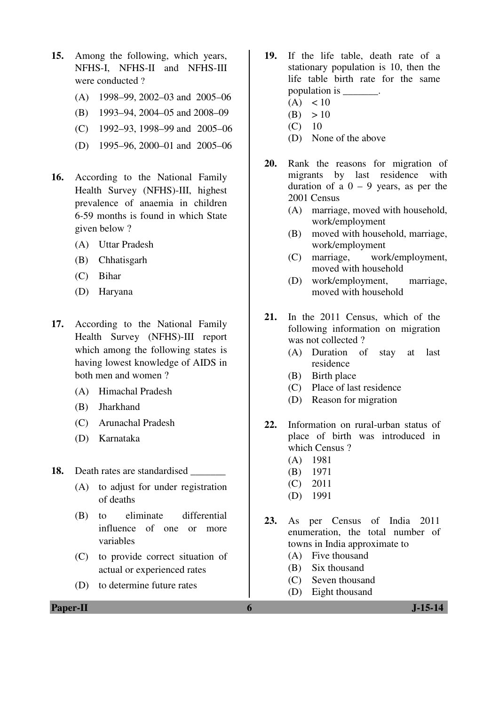- **15.** Among the following, which years, NFHS-I, NFHS-II and NFHS-III were conducted ?
	- (A) 1998–99, 2002–03 and 2005–06
	- (B) 1993–94, 2004–05 and 2008–09
	- (C) 1992–93, 1998–99 and  $2005-06$
	- (D) 1995–96, 2000–01 and 2005–06
- **16.** According to the National Family Health Survey (NFHS)-III, highest prevalence of anaemia in children 6-59 months is found in which State given below ?
	- (A) Uttar Pradesh
	- (B) Chhatisgarh
	- (C) Bihar
	- (D) Haryana
- **17.** According to the National Family Health Survey (NFHS)-III report which among the following states is having lowest knowledge of AIDS in both men and women ?
	- (A) Himachal Pradesh
	- (B) Jharkhand
	- (C) Arunachal Pradesh
	- (D) Karnataka

**18.** Death rates are standardised \_\_\_\_\_\_\_

- (A) to adjust for under registration of deaths
- (B) to eliminate differential influence of one or more variables
- (C) to provide correct situation of actual or experienced rates
- (D) to determine future rates
- **19.** If the life table, death rate of a stationary population is 10, then the life table birth rate for the same population is \_\_\_\_\_\_\_.
	- $(A) < 10$
	- $(B) > 10$
	- $(C)$  10
	- (D) None of the above
- **20.** Rank the reasons for migration of migrants by last residence with duration of a  $0 - 9$  years, as per the 2001 Census
	- (A) marriage, moved with household, work/employment
	- (B) moved with household, marriage, work/employment
	- (C) marriage, work/employment, moved with household
	- (D) work/employment, marriage, moved with household
- **21.** In the 2011 Census, which of the following information on migration was not collected?
	- (A) Duration of stay at last residence
	- (B) Birth place
	- (C) Place of last residence
	- (D) Reason for migration
- **22.** Information on rural-urban status of place of birth was introduced in which Census ?
	- (A) 1981
	- (B) 1971
	- (C) 2011
	- (D) 1991
- **23.** As per Census of India 2011 enumeration, the total number of towns in India approximate to
	- (A) Five thousand
	- (B) Six thousand
	- (C) Seven thousand
	- (D) Eight thousand

**Paper-II 6 J-15-14**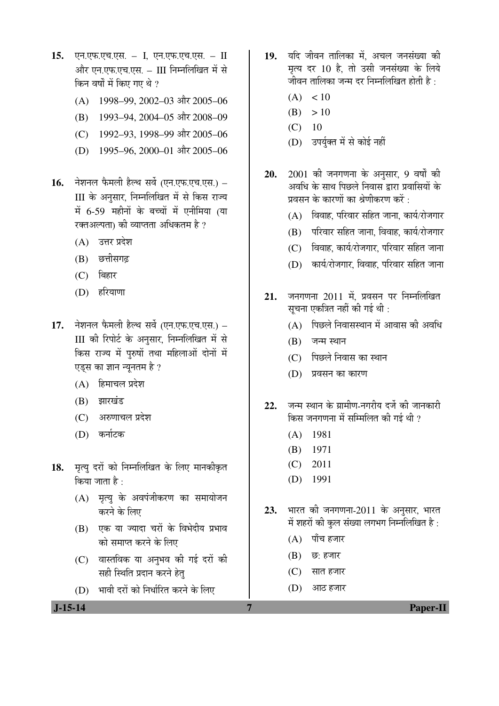- 15. **एन.एफ.एच.एस. I, एन.एफ.एच.एस. II** और एन.एफ.एच.एस. – III निम्नलिखित में से किन वर्षों में किए गए थे ?
	- (A) 1998–99, 2002–03 और 2005–06
	- (B) 1993–94, 2004–05 और 2008–09
	- (C) 1992–93, 1998–99 और 2005–06
	- (D) 1995–96, 2000–01 और 2005–06
- 16. नेशनल फैमली हैल्थ सर्वे (एन.एफ.एच.एस.) III के अनुसार, निम्नलिखित में से किस राज्य में 6-59 महीनों के बच्चों में एनीमिया (या रक्तअल्पता) की व्याप्तता अधिकतम है ?
	- (A) उत्तर प्रदेश
	- (B) छत्तीसगढ
	- $(C)$  बिहार
	- (D) हरियाणा
- 17. नेशनल फैमली हैल्थ सर्वे (एन.एफ.एच.एस.) III की रिपोर्ट के अनुसार, निम्नलिखित में से किस राज्य में पुरुषों तथा महिलाओं दोनों में एडस का ज्ञान न्यूनतम है ?
	- $(A)$  हिमाचल प्रदेश
	- (B) झारखंड
	- $(C)$  अरुणाचल प्रदेश
	- (D) कर्नाटक
- 18. मृत्यु दरों को निम्नलिखित के लिए मानकीकृत किया जाता है :
	- (A) मृत्यु के अवपंजीकरण का समायोजन करने के लिए
	- (B) एक या ज्यादा चरों के विभेदीय प्रभाव को समाप्त करने के लिए
	- (C) वास्तविक या अनुभव की गई दरों की सही स्थिति प्रदान करने हेत
	- (D) भावी दरों को निर्धारित करने के लिए
- 19. यदि जीवन तालिका में. अचल जनसंख्या की मृत्य दर 10 है, तो उसी जनसंख्या के लिये जीवन तालिका जन्म दर निम्नलिखित होती है:
	- $(A) < 10$
	- $(B) > 10$
	- $(C)$  10
	- (D) उपर्युक्त में से कोई नहीं
- 20. 2001 की जनगणना के अनुसार, 9 वर्षों की अवधि के साथ पिछले निवास द्वारा प्रवासियों के प्रवसन के कारणों का श्रेणीकरण करें $\cdot$ 
	- $(A)$  विवाह, परिवार सहित जाना, कार्य/रोजगार
	- (B) परिवार सहित जाना, विवाह, कार्य/रोजगार
	- $(C)$  विवाह, कार्य/रोजगार, परिवार सहित जाना
	- $(D)$  कार्य/रोजगार, विवाह, परिवार सहित जाना
- 21. जनगणना 2011 में, प्रवसन पर निम्नलिखित सचना एकत्रित नहीं की गई थी :
	- $(A)$  पिछले निवासस्थान में आवास की अवधि
	- $(B)$  जन्म स्थान
	- (C) पिछले निवास का स्थान
	- (D) प्रवसन का कारण
- 22. जन्म स्थान के ग्रामीण-नगरीय दर्जे की जानकारी किस जनगणना में सम्मिलित की गई थी ?
	- (A) 1981
	- (B) 1971
	- (C) 2011
	- (D) 1991
- 23. भारत की जनगणना-2011 के अनुसार, भारत में शहरों की कुल संख्या लगभग निम्नलिखित है:
	- $(A)$  पाँच हजार
	- $(B)$   $\overline{\omega}$ : हजार
	- $(C)$  सात हजार
	- $(D)$  आठ हजार

 **J-15-14 7 Paper-II**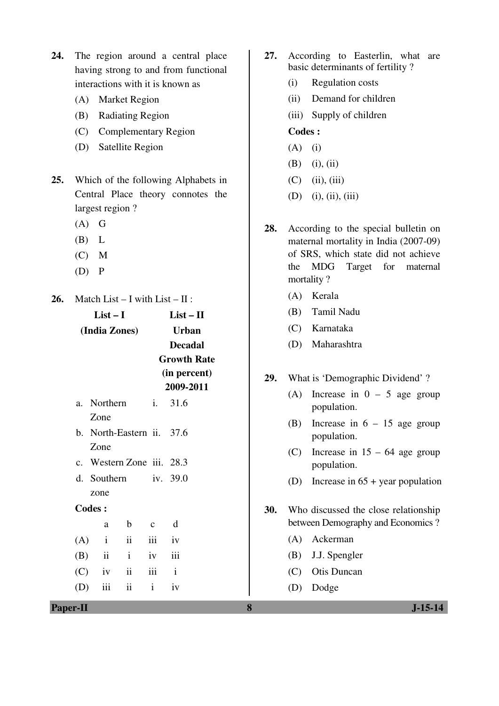- **24.** The region around a central place having strong to and from functional interactions with it is known as
	- (A) Market Region
	- (B) Radiating Region
	- (C) Complementary Region
	- (D) Satellite Region
- **25.** Which of the following Alphabets in Central Place theory connotes the largest region ?
	- $(A)$  G
	- (B) L
	- $(C)$  M
	- $(D)$   $P$
- **26.** Match List I with List II :

|         | List $-$ L    |    | List – $\Pi$       |  |
|---------|---------------|----|--------------------|--|
|         | (India Zones) |    | Urban              |  |
|         |               |    | <b>Decadal</b>     |  |
|         |               |    | <b>Growth Rate</b> |  |
|         |               |    | (in percent)       |  |
|         |               |    | 2009-2011          |  |
| $a_{-}$ | Northern      | i. | - 31.6             |  |
|         | Zone          |    |                    |  |

- b. North-Eastern ii. 37.6 Zone
- c. Western Zone iii. 28.3
- d. Southern zone iv.  $39.0$

### **Codes :**

 a b c d  $(A)$  i ii iii iv (B) ii i iv iii  $(C)$  iv ii iii i (D) iii ii i iv

- **27.** According to Easterlin, what are basic determinants of fertility ?
	- (i) Regulation costs
	- (ii) Demand for children
	- (iii) Supply of children

## **Codes :**

- $(A)$  (i)
- $(B)$  (i), (ii)
- $(C)$  (ii), (iii)
- (D) (i), (ii), (iii)
- **28.** According to the special bulletin on maternal mortality in India (2007-09) of SRS, which state did not achieve the MDG Target for maternal mortality ?
	- (A) Kerala
	- (B) Tamil Nadu
	- (C) Karnataka
	- (D) Maharashtra
- **29.** What is 'Demographic Dividend' ?
	- (A) Increase in  $0 5$  age group population.
	- (B) Increase in  $6 15$  age group population.
	- (C) Increase in  $15 64$  age group population.
	- (D) Increase in 65 + year population
- **30.** Who discussed the close relationship between Demography and Economics ?
	- (A) Ackerman
	- (B) J.J. Spengler
	- (C) Otis Duncan
	- (D) Dodge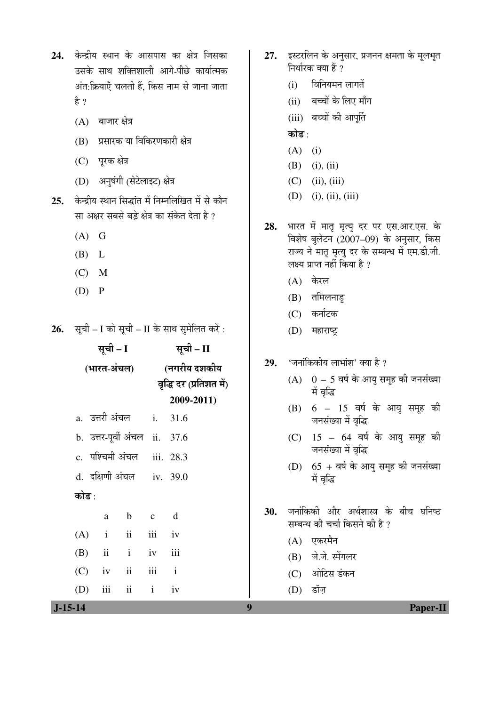| 24.  केन्द्रीय स्थान के आसपास का क्षेत्र जिसका |
|------------------------------------------------|
| उसके साथ शक्तिशाली आगे-पीछे कार्यात्मक         |
| अंत:क्रियाएँ चलती हैं, किस नाम से जाना जाता    |
| है ?                                           |

- $(A)$  बाजार क्षेत्र
- (B) प्रसारक या विकिरणकारी क्षेत्र
- (C) पुरक क्षेत्र
- (D) अनुषंगी (सेटेलाइट) क्षेत्र
- 25. केन्द्रीय स्थान सिद्धांत में निम्नलिखित में से कौन सा अक्षर सबसे बड़े क्षेत्र का संकेत देता है ?
	- $(A)$  G
	- (B) L
	- $(C)$  M
	- $(D)$   $P$

26. सूची – I को सूची – II के साथ सुमेलित करें:

| सूची – I    |                |     |                               | सूची – II               |             |  |
|-------------|----------------|-----|-------------------------------|-------------------------|-------------|--|
| (भारत-अंचल) |                |     |                               | (नगरीय दशकीय            |             |  |
|             |                |     |                               | वृद्धि दर (प्रतिशत में) |             |  |
|             |                |     |                               |                         | 2009-2011)  |  |
|             | a. उत्तरी अंचल |     |                               |                         | i. 31.6     |  |
|             |                |     | b. उत्तर-पूर्वी अंचल ii. 37.6 |                         |             |  |
|             |                |     | c. पश्चिमी अंचल iii. 28.3     |                         |             |  |
|             |                |     | d. दक्षिणी अंचल iv. 39.0      |                         |             |  |
| कोड :       |                |     |                               |                         |             |  |
|             |                | a   | b c                           |                         | $\mathbf d$ |  |
|             |                |     | $(A)$ i ii                    | iii iv                  |             |  |
|             | $(B)$ ii       |     | $i$ iv $iii$                  |                         |             |  |
|             | $(C)$ iv       |     | ii                            | iii i                   |             |  |
| (D)         |                | iii | $\mathbf{ii}$                 | $\mathbf{i}$            | iv          |  |

- 27. **इस्टरलिन के अनुसार, प्रजनन क्षमता के** मुलभुत निर्धारक क्या हैं ?
	- $(i)$  विनियमन लागतें
	- (ii) बच्चों के लिए माँग
	- (iii) बच्चों की आपूर्ति
	- कोड :
	- $(A)$  (i)
	- $(B)$  (i), (ii)
	- $(C)$  (ii), (iii)
	- $(D)$  (i), (ii), (iii)
- 28. भारत में मातृ मृत्यु दर पर एस.आर.एस. के विशेष बुलेटन (2007–09) के अनुसार, किस राज्य ने मातृ मृत्यु दर के सम्बन्ध में एम.डी.जी. लक्ष्य प्राप्त नहीं किया है ?
	- $(A)$  केरल
	- $(B)$  तमिलनाडु
	- (C) कर्नाटक
	- (D) महाराष्ट्र
- 29. 'जनांकिकीय लाभांश' क्या है ?
	- $(A)$  0 5 वर्ष के आयु समूह की जनसंख्या में वृद्धि
	- $(B)$  6 15 वर्ष के आयु समूह की जनसंख्या में वृद्धि
	- $(C)$  15 64 वर्ष के आयु समूह की जनसंख्या में वृद्धि
	- $(D)$  65 + वर्ष के आयु समूह की जनसंख्या में वृद्धि
- 30. जनांकिकी और अर्थशास्त्र के बीच घनिष्ठ सम्बन्ध की चर्चा किसने की है ?
	- (A) एकरमैन
	- (B) जे.जे. स्पेंगलर
	- (C) ओटिस डंकन
	- $(D)$  डॉज
- **J-15-14 9 Paper-II**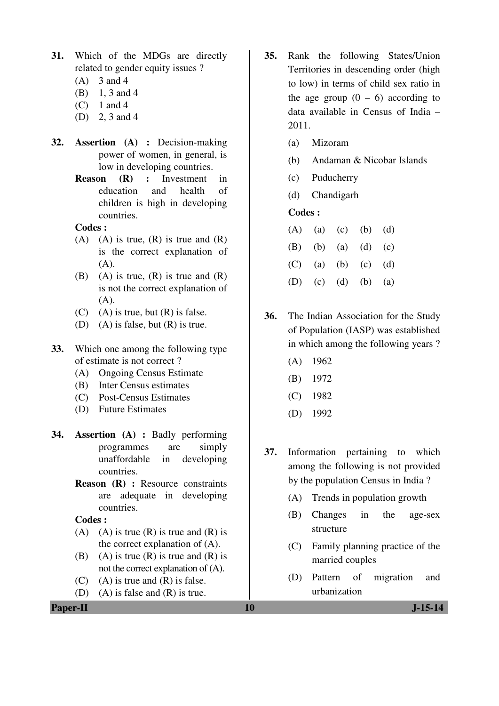- **31.** Which of the MDGs are directly related to gender equity issues ?
	- $(A)$  3 and 4
	- (B) 1, 3 and 4
	- $(C)$  1 and 4
	- (D) 2, 3 and 4
- **32. Assertion (A) :** Decision-making power of women, in general, is low in developing countries.
	- **Reason (R) :** Investment in education and health of children is high in developing countries.

## **Codes :**

- $(A)$  (A) is true,  $(R)$  is true and  $(R)$ is the correct explanation of  $(A)$ .
- (B) (A) is true,  $(R)$  is true and  $(R)$ is not the correct explanation of  $(A)$ .
- $(C)$  (A) is true, but  $(R)$  is false.
- (D) (A) is false, but (R) is true.
- **33.** Which one among the following type of estimate is not correct ?
	- (A) Ongoing Census Estimate
	- (B) Inter Census estimates
	- (C) Post-Census Estimates
	- (D) Future Estimates
- **34. Assertion (A) :** Badly performing programmes are simply unaffordable in developing countries.
	- **Reason** (R) : Resource constraints are adequate in developing countries.

 **Codes :** 

- (A) (A) is true  $(R)$  is true and  $(R)$  is the correct explanation of (A).
- (B) (A) is true (R) is true and  $(R)$  is not the correct explanation of (A).
- $(C)$  (A) is true and  $(R)$  is false.
- (D) (A) is false and (R) is true.
- **35.** Rank the following States/Union Territories in descending order (high to low) in terms of child sex ratio in the age group  $(0 - 6)$  according to data available in Census of India – 2011.
	- (a) Mizoram
	- (b) Andaman & Nicobar Islands
	- (c) Puducherry
	- (d) Chandigarh

## **Codes :**

- $(A)$  (a) (c) (b) (d) (B) (b) (a) (d) (c) (C) (a) (b) (c) (d) (D) (c) (d) (b) (a)
- **36.** The Indian Association for the Study of Population (IASP) was established in which among the following years ?
	- (A) 1962
	- (B) 1972
	- (C) 1982
	- (D) 1992
- **37.** Information pertaining to which among the following is not provided by the population Census in India ?
	- (A) Trends in population growth
	- (B) Changes in the age-sex structure
	- (C) Family planning practice of the married couples
	- (D) Pattern of migration and urbanization

**Paper-II** J-15-14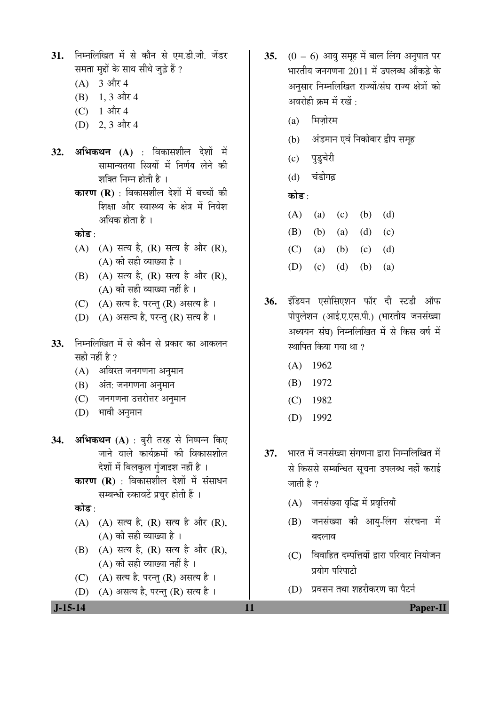**J-15-14 11 Paper-II** 31. निम्नलिखित में से कौन से एम.डी.जी. जेंडर समता मद्दों के साथ सीधे जुड़े हैं ?  $(A)$  3 और 4  $(B)$  1, 3 और 4 (C)  $1 \text{ and } 4$  $(D)$  2, 3 और 4 **32. अभिकथन (A)** : विकासशील देशों में सामान्यतया स्त्रियों में निर्णय लेने की शक्ति निम्न होती है । **कारण (R)** : विकासशील देशों में बच्चों की शिक्षा और स्वास्थ्य के क्षेत्र में निवेश अधिक होता है । कोड :  $(A)$   $(A)$  सत्य है,  $(R)$  सत्य है और  $(R)$ ,  $(A)$  की सही व्याख्या है।  $(B)$   $(A)$  सत्य है,  $(R)$  सत्य है और  $(R)$ ,  $(A)$  की सही व्याख्या नहीं है । (C)  $(A)$  सत्य है, परन्तु (R) असत्य है। (D) (A) असत्य है, परन्तु (R) सत्य है। 33. निम्नलिखित में से कौन से प्रकार का आकलन सही नहीं है ? (A) अविरत जनगणना अनुमान (B) अंत: जनगणना अनुमान (C) जनगणना उत्तरोत्तर अनुमान (D) भावी अनुमान 34. **अभिकथन (A)** : बुरी तरह से निष्पन्न किए <u>जाने वाले कार्यक्रमों की विकासशील</u> देशों में बिलकुल गुंजाइश नहीं है। **कारण (R)** : विकासशील देशों में संसाधन सम्बन्धी रुकावटें प्रचुर होती हैं । कोड :  $(A)$   $(A)$  सत्य है,  $(R)$  सत्य है और  $(R)$ ,  $(A)$  की सही व्याख्या है।  $(B)$   $(A)$  सत्य है,  $(R)$  सत्य है और  $(R)$ ,  $(A)$  की सही व्याख्या नहीं है । (C) (A) सत्य है, परन्तु (R) असत्य है।  $(D)$   $(A)$  असत्य है, परन्तु  $(R)$  सत्य है।

- **35.** (0 6) आयु समूह में बाल लिंग अनुपात पर भारतीय जनगणना 2011 में उपलब्ध आँकडे के अनुसार निम्नलिखित राज्यों/संघ राज्य क्षेत्रों को अवरोही क्रम में रखें $\,$  :
	- $(a)$  मिजोरम
	- (b) अंडमान एवं निकोबार द्वीप समूह
	- (c) पुडुचेरी
	- (d) चंडीगढ़

## कोड :

- (A) (a) (c) (b) (d) (B) (b) (a) (d) (c) (C) (a) (b) (c) (d) (D) (c) (d) (b) (a)
- 36. इंडियन एसोसिएशन फॉर दी स्टडी ऑफ पोपलेशन (आई.ए.एस.पी.) (भारतीय जनसंख्या अध्ययन संघ) निम्नलिखित में से किस वर्ष में स्थापित किया गया था  $\eta$ 
	- (A) 1962
	- (B) 1972
	- (C) 1982
	- (D) 1992
- 37. भारत में जनसंख्या संगणना द्वारा निम्नलिखित में से किससे सम्बन्धित सूचना उपलब्ध नहीं कराई जाती है  $\gamma$ 
	- (A) जनसंख्या वृद्धि में प्रवृत्तियाँ
	- (B) जनसंख्या की आयू-लिंग संरचना में बदलाव
	- $(C)$  विवाहित दम्पत्तियों द्वारा परिवार नियोजन प्रयोग परिपाटी
	- $(D)$  प्रवसन तथा शहरीकरण का पैटर्न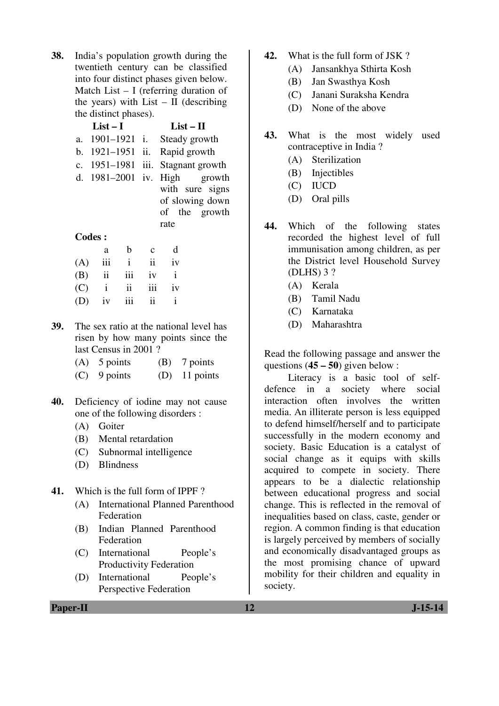**38.** India's population growth during the twentieth century can be classified into four distinct phases given below. Match List – I (referring duration of the years) with List  $-$  II (describing the distinct phases).

| $List-I$         | $List-II$ |                                   |  |
|------------------|-----------|-----------------------------------|--|
| a. 1901–1921 i.  |           | Steady growth                     |  |
| b. 1921–1951 ii. |           | Rapid growth                      |  |
|                  |           | c. 1951–1981 iii. Stagnant growth |  |
|                  |           | d. $1981-2001$ iv. High growth    |  |
|                  |           | with sure signs                   |  |
|                  |           | of slowing down                   |  |
|                  |           | of the growth                     |  |
|                  |           | rate                              |  |

#### **Codes :**

|     | a |                | $b \quad c$         | d  |
|-----|---|----------------|---------------------|----|
|     |   |                | $(A)$ iii i ii iv   |    |
| (B) |   |                | ii iii iv i         |    |
|     |   | $(C)$ i ii iii |                     | iv |
|     |   | $(D)$ iv $iii$ | $\ddot{\mathbf{i}}$ |    |

- **39.** The sex ratio at the national level has risen by how many points since the last Census in 2001 ?
	- (A) 5 points (B) 7 points
	- (C) 9 points (D) 11 points
- **40.** Deficiency of iodine may not cause one of the following disorders :
	- (A) Goiter
	- (B) Mental retardation
	- (C) Subnormal intelligence
	- (D) Blindness
- **41.** Which is the full form of IPPF ?
	- (A) International Planned Parenthood Federation
	- (B) Indian Planned Parenthood Federation
	- (C) International People's Productivity Federation
	- (D) International People's Perspective Federation
- **42.** What is the full form of JSK ?
	- (A) Jansankhya Sthirta Kosh
	- (B) Jan Swasthya Kosh
	- (C) Janani Suraksha Kendra
	- (D) None of the above
- **43.** What is the most widely used contraceptive in India ?
	- (A) Sterilization
	- (B) Injectibles
	- (C) IUCD
	- (D) Oral pills
- **44.** Which of the following states recorded the highest level of full immunisation among children, as per the District level Household Survey (DLHS) 3 ?
	- (A) Kerala
	- (B) Tamil Nadu
	- (C) Karnataka
	- (D) Maharashtra

Read the following passage and answer the questions (**45 – 50**) given below :

 Literacy is a basic tool of selfdefence in a society where social interaction often involves the written media. An illiterate person is less equipped to defend himself/herself and to participate successfully in the modern economy and society. Basic Education is a catalyst of social change as it equips with skills acquired to compete in society. There appears to be a dialectic relationship between educational progress and social change. This is reflected in the removal of inequalities based on class, caste, gender or region. A common finding is that education is largely perceived by members of socially and economically disadvantaged groups as the most promising chance of upward mobility for their children and equality in society.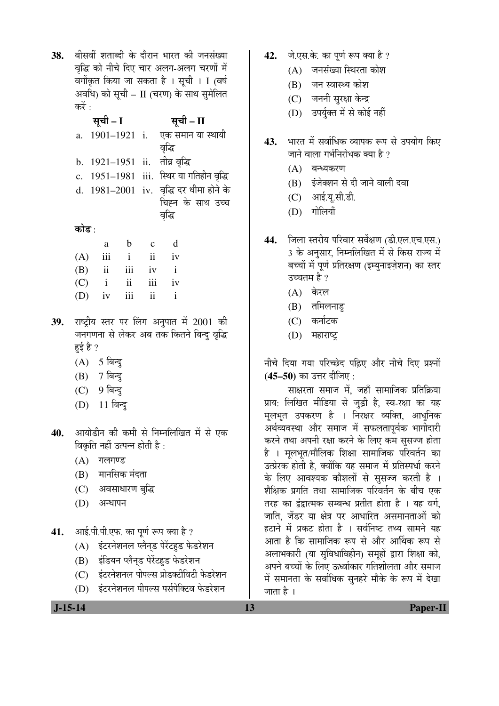38. बीसवीं शताब्दी के दौरान भारत की जनसंख्या वद्धि को नीचे दिए चार अलग-अलग चरणों में वर्गीकृत किया जा सकता है । सूची । I (वर्ष अवधि) को सूची – II (चरण) के साथ सुमेलित करें $\cdot$ 

|       |          | सूची – II                                |
|-------|----------|------------------------------------------|
|       |          | a. 1901–1921 i. एक समान या स्थायी        |
|       |          | वृद्धि                                   |
|       |          |                                          |
|       |          | c. 1951-1981 iii. स्थिर या गतिहीन वृद्धि |
|       |          | d. 1981-2001 iv. वृद्धि दर धीमा होने के  |
|       |          | चिह्न के साथ उच्च                        |
|       |          | वृद्धि                                   |
| कोड : |          |                                          |
| a     |          |                                          |
|       | सूची – I | b. 1921-1951 ii. तीव्र वृद्धि            |

| а. | $\mathbf{L}$      | ◡ | u |
|----|-------------------|---|---|
|    | $(A)$ iii i ii iv |   |   |
|    | $(B)$ ii iii iv i |   |   |
|    | $(C)$ i ii iii iv |   |   |
|    | $(D)$ iv iii ii i |   |   |

- 39. राष्ट्रीय स्तर पर लिंग अनुपात में 2001 की जनगणना से लेकर अब तक कितने बिन्दु वृद्धि हई है ?
	- $(A)$  5 बिन्दु
	- $(B)$  7 बिन्दु
	- (C) 9 बिन्दु
	- (D) 11 बिन्दु
- 40. आयोडीन की कमी से निम्नलिखित में से एक विकृति नहीं उत्पन्न होती है:
	- $(A)$  गलगण्ड
	- $(B)$  मानसिक मंदता
	- (C) अवसाधारण बुद्धि
	- $(D)$  अन्धापन
- 41. आई.पी.पी.एफ. का पूर्ण रूप क्या है ?
	- (A) इंटरनेशनल प्लैन्ड पेरेंटहड फेडरेशन
	- (B) इंडियन प्लैनड पेरेंटहुड फेडरेशन
	- (C) इंटरनेशनल पीपल्स प्रोडक्टीविटी फेडरेशन
	- (D) इंटरनेशनल पीपल्स पर्सपेक्टिव फेडरेशन
- 42. जे.एस.के. का पर्ण रूप क्या है ?
	- $(A)$  जनसंख्या स्थिरता कोश
	- (B) जन स्वास्थ्य कोश
	- (C) जननी सुरक्षा केन्द्र
	- (D) उपर्युक्त में से कोई नहीं
- 43. भारत में सर्वाधिक व्यापक रूप से उपयोग किए जाने वाला गर्भनिरोधक क्या है ?
	- (A) बन्ध्यकरण
	- (B) इंजेक्शन से दी जाने वाली दवा
	- $(C)$  आई.य.सी.डी.
	- $(D)$  गोलियाँ
- 44. जिला स्तरीय परिवार सर्वेक्षण (डी.एल.एच.एस.) 3 के अनुसार, निम्नलिखित में से किस राज्य में बच्चों में पूर्ण प्रतिरक्षण (इम्युनाइज़ेशन) का स्तर उच्चतम है ?
	- $(A)$  केरल
	- $(B)$  तमिलनाडु
	- (C) कर्नाटक
	- $(D)$  महाराष्ट्र

नीचे दिया गया परिच्छेद पढ़िए और नीचे दिए प्रश्नों (45–50) का उत्तर दीजिए <u>:</u>

साक्षरता समाज में, जहाँ सामाजिक प्रतिक्रिया प्राय: लिखित मीडिया से जुड़ी है, स्व-रक्षा का यह मूलभूत उपकरण है । निरक्षर व्यक्ति, आधुनिक अर्थव्यवस्था और समाज में सफलतापूर्वक भागीदारी करने तथा अपनी रक्षा करने के लिए कम सुसज्ज होता है । मूलभूत/मौलिक शिक्षा सामाजिक परिवर्तन का उत्प्रेरक होती है, क्योंकि यह समाज में प्रतिस्पर्धा करने के लिए आवश्यक कौशलों से सुसज्ज करती है । शैक्षिक प्रगति तथा सामाजिक परिवर्तन के बीच एक तरह का द्वंद्वात्मक सम्बन्ध प्रतीत होता है । यह वर्ग. जाति, जेंडर या क्षेत्र पर आधारित असमानताओं को हटाने में प्रकट होता है । सर्वनिष्ट तथ्य सामने यह आता है कि सामाजिक रूप से और आर्थिक रूप से अलाभकारी (या सुविधाविहीन) समूहों द्वारा शिक्षा को, अपने बच्चों के लिए ऊर्ध्वाकार गतिशीलता और समाज में समानता के सर्वाधिक सुनहरे मौके के रूप में देखा जाता है ।

 **J-15-14 13 Paper-II**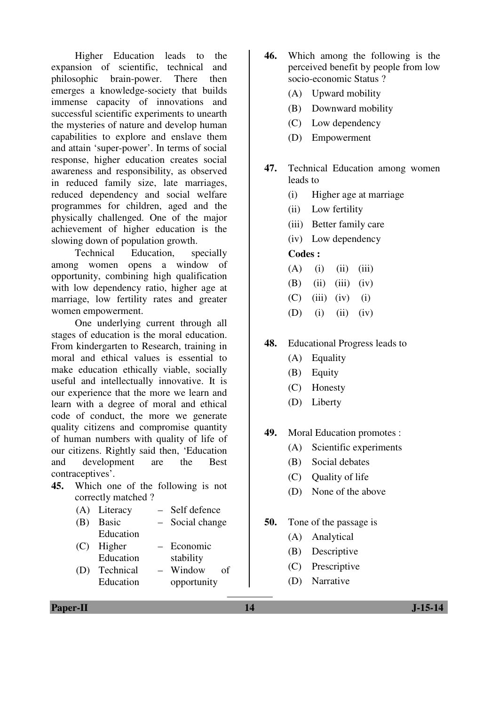Higher Education leads to the expansion of scientific, technical and philosophic brain-power. There then emerges a knowledge-society that builds immense capacity of innovations and successful scientific experiments to unearth the mysteries of nature and develop human capabilities to explore and enslave them and attain 'super-power'. In terms of social response, higher education creates social awareness and responsibility, as observed in reduced family size, late marriages, reduced dependency and social welfare programmes for children, aged and the physically challenged. One of the major achievement of higher education is the slowing down of population growth.

 Technical Education, specially among women opens a window of opportunity, combining high qualification with low dependency ratio, higher age at marriage, low fertility rates and greater women empowerment.

 One underlying current through all stages of education is the moral education. From kindergarten to Research, training in moral and ethical values is essential to make education ethically viable, socially useful and intellectually innovative. It is our experience that the more we learn and learn with a degree of moral and ethical code of conduct, the more we generate quality citizens and compromise quantity of human numbers with quality of life of our citizens. Rightly said then, 'Education and development are the Best contraceptives'.

- **45.** Which one of the following is not correctly matched ?
	- (A) Literacy Self defence
	- (B) Basic Education Social change
	- (C) Higher Education – Economic stability
	- (D) Technical Education – Window of opportunity
- **46.** Which among the following is the perceived benefit by people from low socio-economic Status ?
	- (A) Upward mobility
	- (B) Downward mobility
	- (C) Low dependency
	- (D) Empowerment
- **47.** Technical Education among women leads to
	- (i) Higher age at marriage
	- (ii) Low fertility
	- (iii) Better family care
	- (iv) Low dependency

### **Codes :**

- $(A)$  (i) (ii) (iii)
- $(B)$  (ii) (iii) (iv)
- $(C)$  (iii) (iv) (i)
- (D) (i) (ii) (iv)

## **48.** Educational Progress leads to

- (A) Equality
- (B) Equity
- (C) Honesty
- (D) Liberty

## **49.** Moral Education promotes :

- (A) Scientific experiments
- (B) Social debates
- (C) Quality of life
- (D) None of the above
- **50.** Tone of the passage is
	- (A) Analytical
	- (B) Descriptive
	- (C) Prescriptive
	- (D) Narrative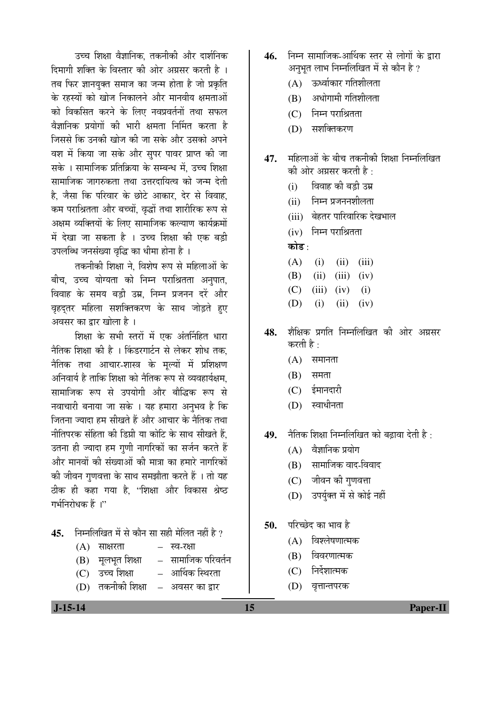उच्च शिक्षा वैज्ञानिक, तकनीकी और दार्शनिक दिमागी शक्ति के विस्तार की ओर अग्रसर करती है । तब फिर ज्ञानयुक्त समाज का जन्म होता है जो प्रकृति के रहस्यों को खोज निकालने और मानवीय क्षमताओं को विकसित करने के लिए नवप्रवर्तनों तथा सफल वैज्ञानिक प्रयोगों की भारी क्षमता निर्मित करता है जिससे कि उनकी खोज की जा सके और उसको अपने वश में किया जा सके और सुपर पावर प्राप्त की जा सके । सामाजिक प्रतिक्रिया के सम्बन्ध में. उच्च शिक्षा सामाजिक जागरुकता तथा उत्तरदायित्व को जन्म देती है. जैसा कि परिवार के छोटे आकार. देर से विवाह. कम पराश्रितता और बच्चों, वृद्धों तथा शारीरिक रूप से अक्षम व्यक्तियों के लिए सामाजिक कल्याण कार्यक्रमों में देखा जा सकता है । उच्च शिक्षा की एक बड़ी उपलब्धि जनसंख्या वृद्धि का धीमा होना है ।

तकनीकी शिक्षा ने. विशेष रूप से महिलाओं के बीच, उच्च योग्यता को निम्न पराश्रितता अनपात, विवाह के समय बड़ी उम्र, निम्न प्रजनन दरें और वृहदतर महिला सशक्तिकरण के साथ जोडते हए अवसर का द्वार खोला है ।

<u>शिक्षा के सभी स्तरों में एक अंतर्निहित धारा</u> नैतिक शिक्षा की है । किंडरगार्टन से लेकर शोध तक, नैतिक तथा आचार-शास्त्र के मल्यों में प्रशिक्षण अनिवार्य है ताकि शिक्षा को नैतिक रूप से व्यवहार्यक्षम. सामाजिक रूप से उपयोगी और बौद्धिक रूप से नवाचारी बनाया जा सके । यह हमारा अनुभव है कि जितना ज्यादा हम सीखते हैं और आचार के नैतिक तथा नीतिपरक संहिता की डिग्री या कोटि के साथ सीखते हैं. उतना ही ज्यादा हम गुणी नागरिकों का सर्जन करते हैं और मानवों की संख्याओं की मात्रा का हमारे नागरिकों की जीवन गणवत्ता के साथ समझौता करते हैं । तो यह ठीक ही कहा गया है, "शिक्षा और विकास श्रेष्ठ गर्भनिरोधक हैं ।"

- 45. निम्नलिखित में से कौन सा सही मेलित नहीं है ?
	- $(A)$  साक्षरता स्व-रक्षा  $(B)$  मृलभृत शिक्षा – सामाजिक परिवर्तन (C) उच्च शिक्षा – आर्थिक स्थिरता
	- (D) तकनीकी शिक्षा अवसर का द्वार
- 46. निम्न सामाजिक-आर्थिक स्तर से लोगों के द्रारा अनभत लाभ निम्नलिखित में से कौन है ?
	- $(A)$  ऊर्ध्वाकार गतिशीलता
	- $(B)$  अधोगामी गतिशीलता
	- $(C)$  निम्न पराश्रितता
	- $(D)$  सशक्तिकरण
- $\bf 47.$  महिलाओं के बीच तकनीकी शिक्षा निम्नलिखित की ओर अग्रसर करती है $\cdot$ 
	- (i) विवाह की बड़ी उम्र
	- $(i)$  निम्न प्रजननशीलता
	- (iii) बेहतर पारिवारिक देखभाल
	- $(iv)$  निम्न पराश्रितता
	- कोड :
	- $(A)$  (i) (ii) (iii)  $(B)$  (ii) (iii) (iv)  $(C)$  (iii) (iv) (i) (D) (i) (ii) (iv)
- **48.** शैक्षिक प्रगति निम्नलिखित की ओर अग्रसर करती है :
	- $(A)$  समानता
	- $(B)$  समता
	- $(C)$  ईमानदारी
	- $(D)$  स्वाधीनता

**49.** नैतिक शिक्षा निम्नलिखित को बढावा देती है :

- $(A)$  वैज्ञानिक प्रयोग
- $(B)$  सामाजिक वाद-विवाद
- (C) जीवन की गुणवत्ता
- (D) उपर्युक्त में से कोई नहीं
- **50.** परिच्छेद का भाव है
	- $(A)$  विश्लेषणात्मक
	- (B) विवरणात्मक
	- (C) निर्देशात्मक
	- (D) वृत्तान्तपरक